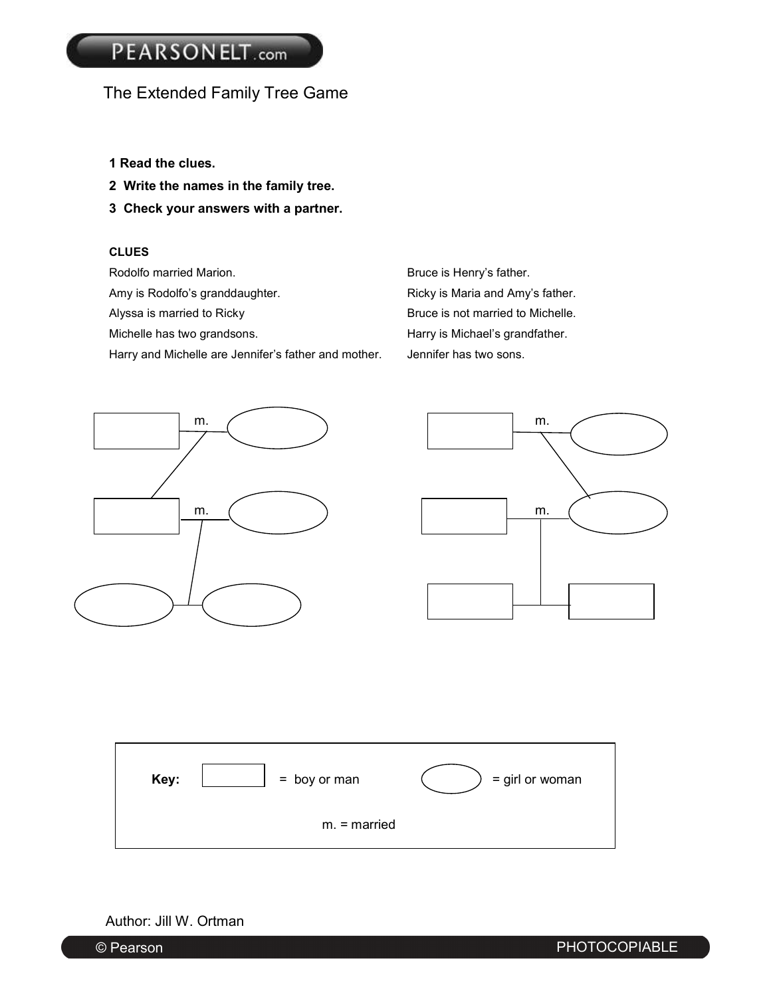## The Extended Family Tree Game

- **1 Read the clues.**
- **2 Write the names in the family tree.**
- **3 Check your answers with a partner.**

#### **CLUES**

Rodolfo married Marion. The state of the Bruce is Henry's father. Amy is Rodolfo's granddaughter. The Ricky is Maria and Amy's father. Alyssa is married to Ricky **Bruce** is not married to Michelle. Michelle has two grandsons. The example of the Harry is Michael's grandfather. Harry and Michelle are Jennifer's father and mother. Jennifer has two sons.





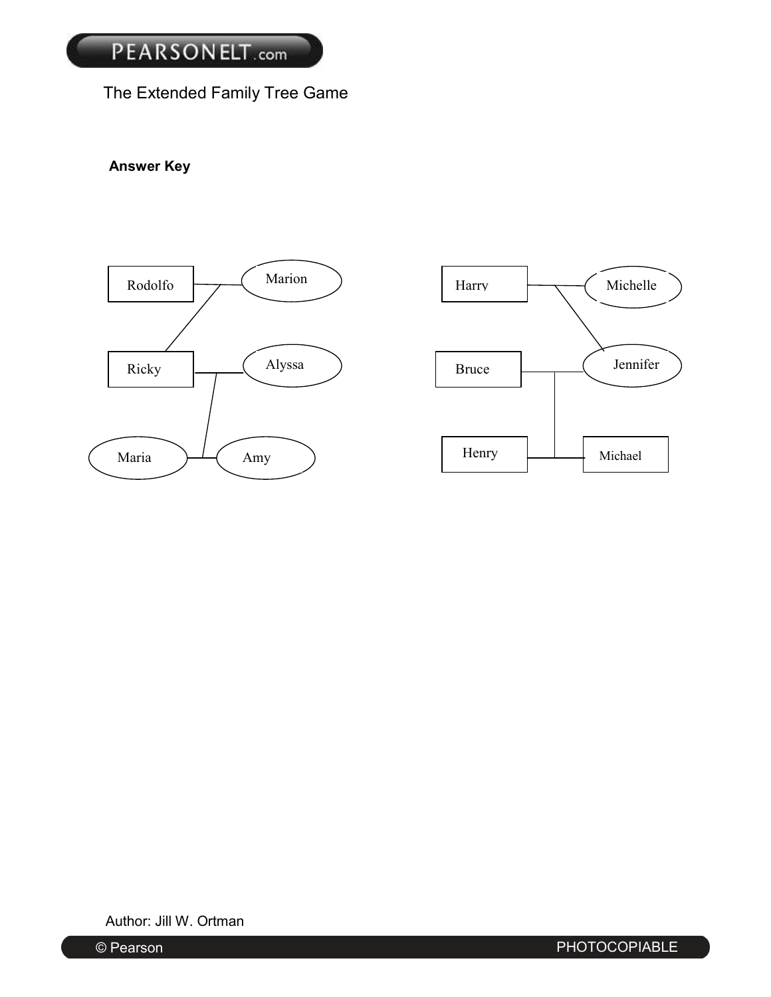# The Extended Family Tree Game

## **Answer Key**



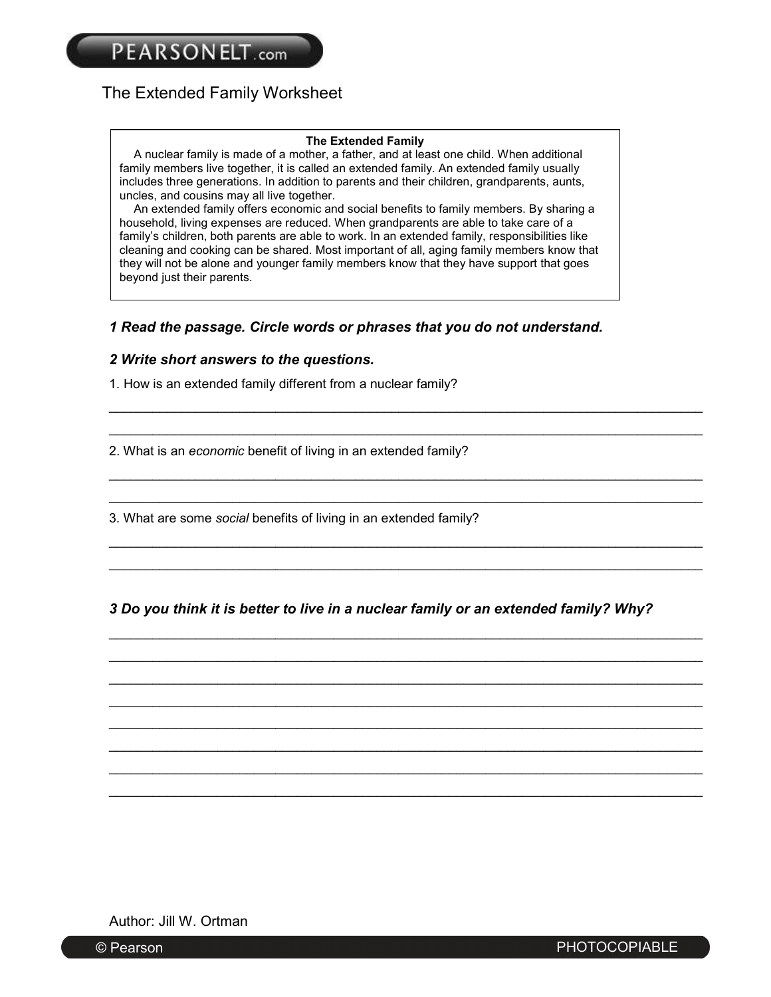## The Extended Family Worksheet

#### **The Extended Family**

A nuclear family is made of a mother, a father, and at least one child. When additional family members live together, it is called an extended family. An extended family usually includes three generations. In addition to parents and their children, grandparents, aunts, uncles, and cousins may all live together.

An extended family offers economic and social benefits to family members. By sharing a household, living expenses are reduced. When grandparents are able to take care of a family's children, both parents are able to work. In an extended family, responsibilities like cleaning and cooking can be shared. Most important of all, aging family members know that they will not be alone and younger family members know that they have support that goes beyond just their parents.

#### *1 Read the passage. Circle words or phrases that you do not understand.*

#### *2 Write short answers to the questions.*

1. How is an extended family different from a nuclear family?

2. What is an *economic* benefit of living in an extended family?

3. What are some *social* benefits of living in an extended family?

*3 Do you think it is better to live in a nuclear family or an extended family? Why?* 

 \_\_\_\_\_\_\_\_\_\_\_\_\_\_\_\_\_\_\_\_\_\_\_\_\_\_\_\_\_\_\_\_\_\_\_\_\_\_\_\_\_\_\_\_\_\_\_\_\_\_\_\_\_\_\_\_\_\_\_\_\_\_\_\_\_\_\_\_\_\_\_\_\_\_\_\_\_\_\_\_\_\_ \_\_\_\_\_\_\_\_\_\_\_\_\_\_\_\_\_\_\_\_\_\_\_\_\_\_\_\_\_\_\_\_\_\_\_\_\_\_\_\_\_\_\_\_\_\_\_\_\_\_\_\_\_\_\_\_\_\_\_\_\_\_\_\_\_\_\_\_\_\_\_\_\_\_\_\_\_\_\_\_\_\_ \_\_\_\_\_\_\_\_\_\_\_\_\_\_\_\_\_\_\_\_\_\_\_\_\_\_\_\_\_\_\_\_\_\_\_\_\_\_\_\_\_\_\_\_\_\_\_\_\_\_\_\_\_\_\_\_\_\_\_\_\_\_\_\_\_\_\_\_\_\_\_\_\_\_\_\_\_\_\_\_\_\_

\_\_\_\_\_\_\_\_\_\_\_\_\_\_\_\_\_\_\_\_\_\_\_\_\_\_\_\_\_\_\_\_\_\_\_\_\_\_\_\_\_\_\_\_\_\_\_\_\_\_\_\_\_\_\_\_\_\_\_\_\_\_\_\_\_\_\_\_\_\_\_\_\_\_\_\_\_\_\_\_\_\_

\_\_\_\_\_\_\_\_\_\_\_\_\_\_\_\_\_\_\_\_\_\_\_\_\_\_\_\_\_\_\_\_\_\_\_\_\_\_\_\_\_\_\_\_\_\_\_\_\_\_\_\_\_\_\_\_\_\_\_\_\_\_\_\_\_\_\_\_\_\_\_\_\_\_\_\_\_\_\_\_\_\_

\_\_\_\_\_\_\_\_\_\_\_\_\_\_\_\_\_\_\_\_\_\_\_\_\_\_\_\_\_\_\_\_\_\_\_\_\_\_\_\_\_\_\_\_\_\_\_\_\_\_\_\_\_\_\_\_\_\_\_\_\_\_\_\_\_\_\_\_\_\_\_\_\_\_\_\_\_\_\_\_\_\_

\_\_\_\_\_\_\_\_\_\_\_\_\_\_\_\_\_\_\_\_\_\_\_\_\_\_\_\_\_\_\_\_\_\_\_\_\_\_\_\_\_\_\_\_\_\_\_\_\_\_\_\_\_\_\_\_\_\_\_\_\_\_\_\_\_\_\_\_\_\_\_\_\_\_\_\_\_\_\_\_\_\_

\_\_\_\_\_\_\_\_\_\_\_\_\_\_\_\_\_\_\_\_\_\_\_\_\_\_\_\_\_\_\_\_\_\_\_\_\_\_\_\_\_\_\_\_\_\_\_\_\_\_\_\_\_\_\_\_\_\_\_\_\_\_\_\_\_\_\_\_\_\_\_\_\_\_\_\_\_\_\_\_\_\_

 \_\_\_\_\_\_\_\_\_\_\_\_\_\_\_\_\_\_\_\_\_\_\_\_\_\_\_\_\_\_\_\_\_\_\_\_\_\_\_\_\_\_\_\_\_\_\_\_\_\_\_\_\_\_\_\_\_\_\_\_\_\_\_\_\_\_\_\_\_\_\_\_\_\_\_\_\_\_\_\_\_\_ \_\_\_\_\_\_\_\_\_\_\_\_\_\_\_\_\_\_\_\_\_\_\_\_\_\_\_\_\_\_\_\_\_\_\_\_\_\_\_\_\_\_\_\_\_\_\_\_\_\_\_\_\_\_\_\_\_\_\_\_\_\_\_\_\_\_\_\_\_\_\_\_\_\_\_\_\_\_\_\_\_\_

 \_\_\_\_\_\_\_\_\_\_\_\_\_\_\_\_\_\_\_\_\_\_\_\_\_\_\_\_\_\_\_\_\_\_\_\_\_\_\_\_\_\_\_\_\_\_\_\_\_\_\_\_\_\_\_\_\_\_\_\_\_\_\_\_\_\_\_\_\_\_\_\_\_\_\_\_\_\_\_\_\_\_ \_\_\_\_\_\_\_\_\_\_\_\_\_\_\_\_\_\_\_\_\_\_\_\_\_\_\_\_\_\_\_\_\_\_\_\_\_\_\_\_\_\_\_\_\_\_\_\_\_\_\_\_\_\_\_\_\_\_\_\_\_\_\_\_\_\_\_\_\_\_\_\_\_\_\_\_\_\_\_\_\_\_

 \_\_\_\_\_\_\_\_\_\_\_\_\_\_\_\_\_\_\_\_\_\_\_\_\_\_\_\_\_\_\_\_\_\_\_\_\_\_\_\_\_\_\_\_\_\_\_\_\_\_\_\_\_\_\_\_\_\_\_\_\_\_\_\_\_\_\_\_\_\_\_\_\_\_\_\_\_\_\_\_\_\_ \_\_\_\_\_\_\_\_\_\_\_\_\_\_\_\_\_\_\_\_\_\_\_\_\_\_\_\_\_\_\_\_\_\_\_\_\_\_\_\_\_\_\_\_\_\_\_\_\_\_\_\_\_\_\_\_\_\_\_\_\_\_\_\_\_\_\_\_\_\_\_\_\_\_\_\_\_\_\_\_\_\_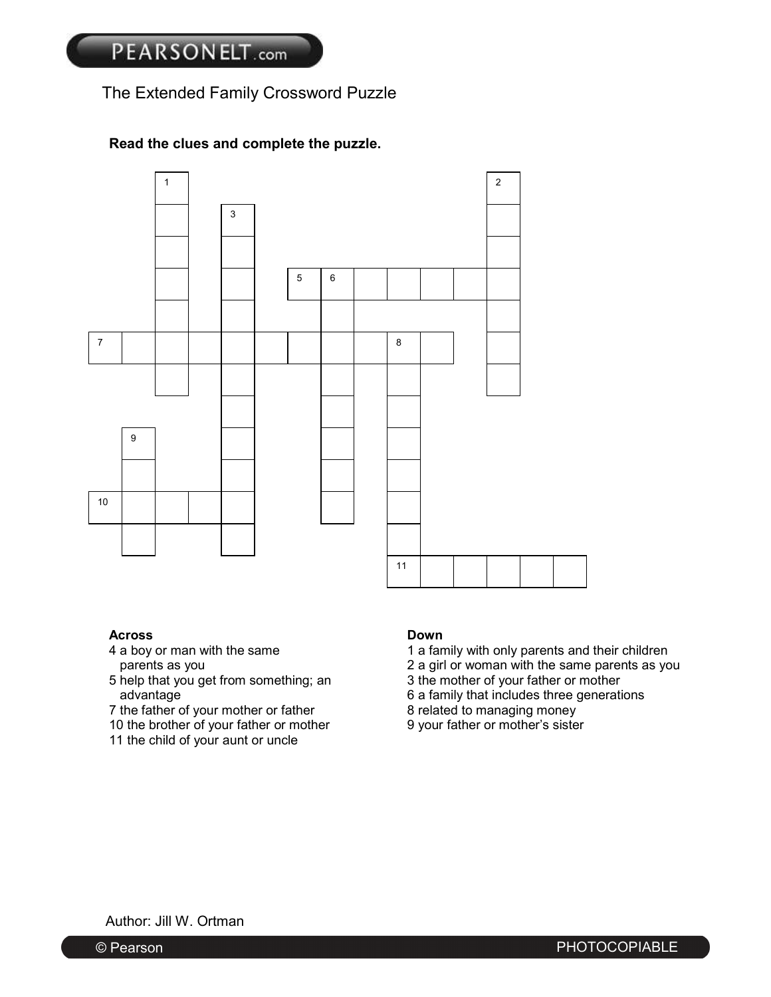## The Extended Family Crossword Puzzle

## **Read the clues and complete the puzzle.**



#### **Across Down**

- 
- 5 help that you get from something; an
- 7 the father of your mother or father 8 related to managing money<br>10 the brother of your father or mother 9 your father or mother's sister
- 10 the brother of your father or mother
- 11 the child of your aunt or uncle

- 4 a boy or man with the same 1 a family with only parents and their children
	- parents as you 2 a girl or woman with the same parents as you<br>help that you get from something; an 3 the mother of your father or mother
		-
	- advantage discussed by a family that includes three generations<br>the father of your mother or father and the set of the set of the set of the set of the set of the set of the<br>set of the set of the set of the set of the set
		-
		-